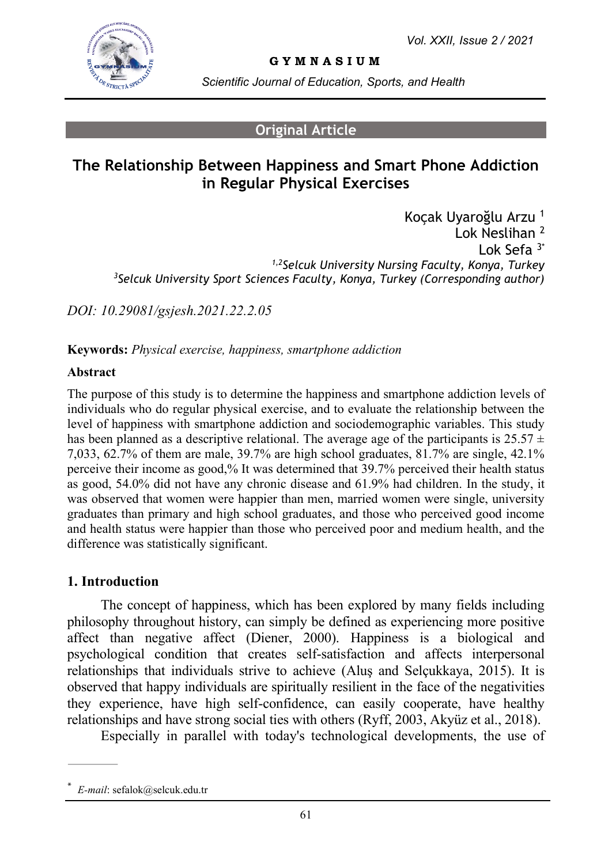

**G Y M N A S I U M**

*Scientific Journal of Education, Sports, and Health*

#### **Original Article**

# **The Relationship Between Happiness and Smart Phone Addiction in Regular Physical Exercises**

Koçak Uyaroğlu Arzu <sup>1</sup> Lok Neslihan<sup>2</sup> Lok Sefa $3^*$ *1,2Selcuk University Nursing Faculty, Konya, Turkey <sup>3</sup>Selcuk University Sport Sciences Faculty, Konya, Turkey (Corresponding author)*

*DOI: 10.29081/gsjesh.2021.22.2.05*

**Keywords:** *Physical exercise, happiness, smartphone addiction*

#### **Abstract**

The purpose of this study is to determine the happiness and smartphone addiction levels of individuals who do regular physical exercise, and to evaluate the relationship between the level of happiness with smartphone addiction and sociodemographic variables. This study has been planned as a descriptive relational. The average age of the participants is  $25.57 \pm$ 7,033, 62.7% of them are male, 39.7% are high school graduates, 81.7% are single, 42.1% perceive their income as good,% It was determined that 39.7% perceived their health status as good, 54.0% did not have any chronic disease and 61.9% had children. In the study, it was observed that women were happier than men, married women were single, university graduates than primary and high school graduates, and those who perceived good income and health status were happier than those who perceived poor and medium health, and the difference was statistically significant.

#### **1. Introduction**

The concept of happiness, which has been explored by many fields including philosophy throughout history, can simply be defined as experiencing more positive affect than negative affect (Diener, 2000). Happiness is a biological and psychological condition that creates self-satisfaction and affects interpersonal relationships that individuals strive to achieve (Aluş and Selçukkaya, 2015). It is observed that happy individuals are spiritually resilient in the face of the negativities they experience, have high self-confidence, can easily cooperate, have healthy relationships and have strong social ties with others (Ryff, 2003, Akyüz et al., 2018).

Especially in parallel with today's technological developments, the use of

<sup>\*</sup> *E-mail*: sefalok@selcuk.edu.tr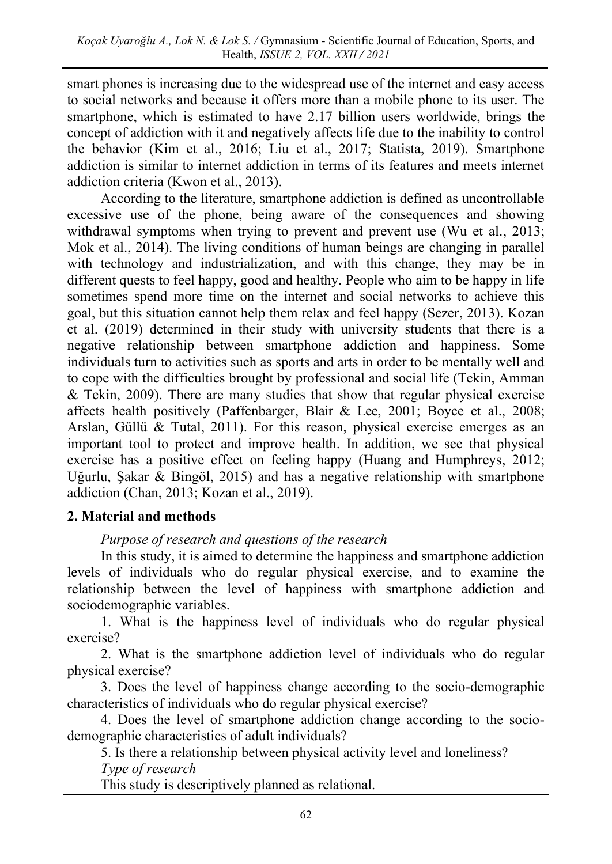smart phones is increasing due to the widespread use of the internet and easy access to social networks and because it offers more than a mobile phone to its user. The smartphone, which is estimated to have 2.17 billion users worldwide, brings the concept of addiction with it and negatively affects life due to the inability to control the behavior (Kim et al., 2016; Liu et al., 2017; Statista, 2019). Smartphone addiction is similar to internet addiction in terms of its features and meets internet addiction criteria (Kwon et al., 2013).

According to the literature, smartphone addiction is defined as uncontrollable excessive use of the phone, being aware of the consequences and showing withdrawal symptoms when trying to prevent and prevent use (Wu et al., 2013; Mok et al., 2014). The living conditions of human beings are changing in parallel with technology and industrialization, and with this change, they may be in different quests to feel happy, good and healthy. People who aim to be happy in life sometimes spend more time on the internet and social networks to achieve this goal, but this situation cannot help them relax and feel happy (Sezer, 2013). Kozan et al. (2019) determined in their study with university students that there is a negative relationship between smartphone addiction and happiness. Some individuals turn to activities such as sports and arts in order to be mentally well and to cope with the difficulties brought by professional and social life (Tekin, Amman & Tekin, 2009). There are many studies that show that regular physical exercise affects health positively (Paffenbarger, Blair & Lee, 2001; Boyce et al., 2008; Arslan, Güllü & Tutal, 2011). For this reason, physical exercise emerges as an important tool to protect and improve health. In addition, we see that physical exercise has a positive effect on feeling happy (Huang and Humphreys, 2012; Uğurlu, Şakar & Bingöl, 2015) and has a negative relationship with smartphone addiction (Chan, 2013; Kozan et al., 2019).

#### **2. Material and methods**

### *Purpose of research and questions of the research*

In this study, it is aimed to determine the happiness and smartphone addiction levels of individuals who do regular physical exercise, and to examine the relationship between the level of happiness with smartphone addiction and sociodemographic variables.

1. What is the happiness level of individuals who do regular physical exercise?

2. What is the smartphone addiction level of individuals who do regular physical exercise?

3. Does the level of happiness change according to the socio-demographic characteristics of individuals who do regular physical exercise?

4. Does the level of smartphone addiction change according to the sociodemographic characteristics of adult individuals?

5. Is there a relationship between physical activity level and loneliness? *Type of research*

This study is descriptively planned as relational.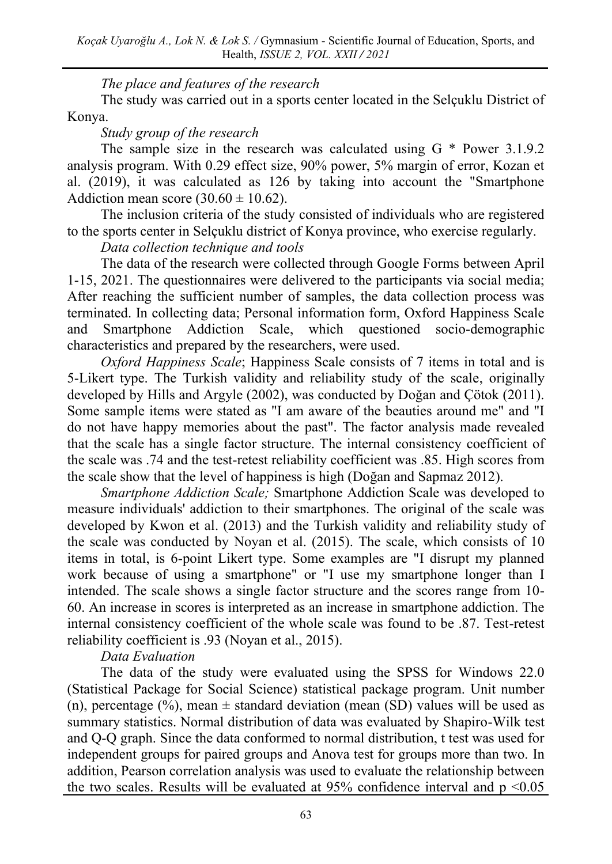*The place and features of the research*

The study was carried out in a sports center located in the Selçuklu District of Konya.

*Study group of the research*

The sample size in the research was calculated using G \* Power 3.1.9.2 analysis program. With 0.29 effect size, 90% power, 5% margin of error, Kozan et al. (2019), it was calculated as 126 by taking into account the "Smartphone Addiction mean score  $(30.60 \pm 10.62)$ .

The inclusion criteria of the study consisted of individuals who are registered to the sports center in Selçuklu district of Konya province, who exercise regularly.

*Data collection technique and tools*

The data of the research were collected through Google Forms between April 1-15, 2021. The questionnaires were delivered to the participants via social media; After reaching the sufficient number of samples, the data collection process was terminated. In collecting data; Personal information form, Oxford Happiness Scale and Smartphone Addiction Scale, which questioned socio-demographic characteristics and prepared by the researchers, were used.

*Oxford Happiness Scale*; Happiness Scale consists of 7 items in total and is 5-Likert type. The Turkish validity and reliability study of the scale, originally developed by Hills and Argyle (2002), was conducted by Doğan and Çötok (2011). Some sample items were stated as "I am aware of the beauties around me" and "I do not have happy memories about the past". The factor analysis made revealed that the scale has a single factor structure. The internal consistency coefficient of the scale was .74 and the test-retest reliability coefficient was .85. High scores from the scale show that the level of happiness is high (Doğan and Sapmaz 2012).

*Smartphone Addiction Scale;* Smartphone Addiction Scale was developed to measure individuals' addiction to their smartphones. The original of the scale was developed by Kwon et al. (2013) and the Turkish validity and reliability study of the scale was conducted by Noyan et al. (2015). The scale, which consists of 10 items in total, is 6-point Likert type. Some examples are "I disrupt my planned work because of using a smartphone" or "I use my smartphone longer than I intended. The scale shows a single factor structure and the scores range from 10- 60. An increase in scores is interpreted as an increase in smartphone addiction. The internal consistency coefficient of the whole scale was found to be .87. Test-retest reliability coefficient is .93 (Noyan et al., 2015).

### *Data Evaluation*

The data of the study were evaluated using the SPSS for Windows 22.0 (Statistical Package for Social Science) statistical package program. Unit number (n), percentage (%), mean  $\pm$  standard deviation (mean (SD) values will be used as summary statistics. Normal distribution of data was evaluated by Shapiro-Wilk test and Q-Q graph. Since the data conformed to normal distribution, t test was used for independent groups for paired groups and Anova test for groups more than two. In addition, Pearson correlation analysis was used to evaluate the relationship between the two scales. Results will be evaluated at  $95\%$  confidence interval and  $p \le 0.05$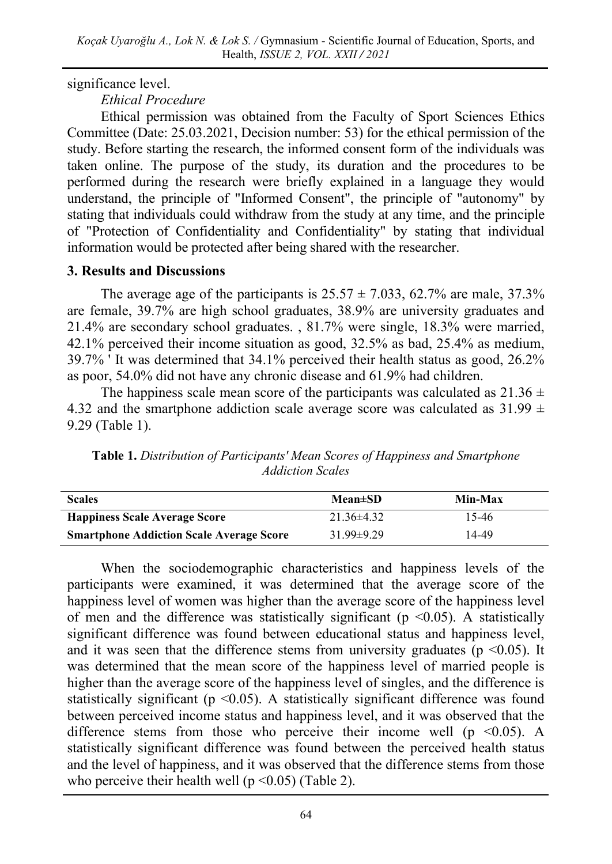significance level.

*Ethical Procedure*

Ethical permission was obtained from the Faculty of Sport Sciences Ethics Committee (Date: 25.03.2021, Decision number: 53) for the ethical permission of the study. Before starting the research, the informed consent form of the individuals was taken online. The purpose of the study, its duration and the procedures to be performed during the research were briefly explained in a language they would understand, the principle of "Informed Consent", the principle of "autonomy" by stating that individuals could withdraw from the study at any time, and the principle of "Protection of Confidentiality and Confidentiality" by stating that individual information would be protected after being shared with the researcher.

### **3. Results and Discussions**

The average age of the participants is  $25.57 \pm 7.033$ , 62.7% are male, 37.3% are female, 39.7% are high school graduates, 38.9% are university graduates and 21.4% are secondary school graduates. , 81.7% were single, 18.3% were married, 42.1% perceived their income situation as good, 32.5% as bad, 25.4% as medium, 39.7% ' It was determined that 34.1% perceived their health status as good, 26.2% as poor, 54.0% did not have any chronic disease and 61.9% had children.

The happiness scale mean score of the participants was calculated as  $21.36 \pm 1.5$ 4.32 and the smartphone addiction scale average score was calculated as  $31.99 \pm$ 9.29 (Table 1).

**Table 1.** *Distribution of Participants' Mean Scores of Happiness and Smartphone Addiction Scales*

| <b>Scales</b>                                   | $Mean \pm SD$    | Min-Max   |
|-------------------------------------------------|------------------|-----------|
| <b>Happiness Scale Average Score</b>            | $21.36\pm4.32$   | $15 - 46$ |
| <b>Smartphone Addiction Scale Average Score</b> | $31.99 \pm 9.29$ | 14-49     |

When the sociodemographic characteristics and happiness levels of the participants were examined, it was determined that the average score of the happiness level of women was higher than the average score of the happiness level of men and the difference was statistically significant ( $p \le 0.05$ ). A statistically significant difference was found between educational status and happiness level, and it was seen that the difference stems from university graduates ( $p \le 0.05$ ). It was determined that the mean score of the happiness level of married people is higher than the average score of the happiness level of singles, and the difference is statistically significant ( $p \le 0.05$ ). A statistically significant difference was found between perceived income status and happiness level, and it was observed that the difference stems from those who perceive their income well ( $p \le 0.05$ ). A statistically significant difference was found between the perceived health status and the level of happiness, and it was observed that the difference stems from those who perceive their health well ( $p \le 0.05$ ) (Table 2).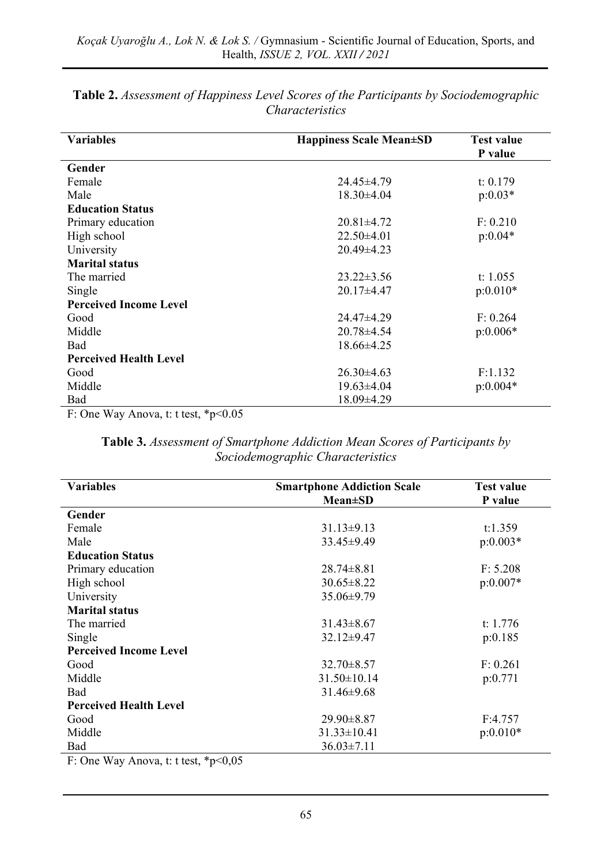| <b>Variables</b>              | Happiness Scale Mean±SD | <b>Test value</b> |  |
|-------------------------------|-------------------------|-------------------|--|
|                               |                         | P value           |  |
| Gender                        |                         |                   |  |
| Female                        | $24.45\pm4.79$          | t: $0.179$        |  |
| Male                          | $18.30\pm4.04$          | $p:0.03*$         |  |
| <b>Education Status</b>       |                         |                   |  |
| Primary education             | $20.81 \pm 4.72$        | F: 0.210          |  |
| High school                   | $22.50\pm4.01$          | $p:0.04*$         |  |
| University                    | $20.49\pm4.23$          |                   |  |
| <b>Marital status</b>         |                         |                   |  |
| The married                   | $23.22 \pm 3.56$        | t: $1.055$        |  |
| Single                        | $20.17\pm4.47$          | $p:0.010*$        |  |
| <b>Perceived Income Level</b> |                         |                   |  |
| Good                          | $24.47\pm4.29$          | F: 0.264          |  |
| Middle                        | 20.78±4.54              | $p:0.006*$        |  |
| <b>Bad</b>                    | $18.66\pm4.25$          |                   |  |
| <b>Perceived Health Level</b> |                         |                   |  |
| Good                          | $26.30\pm4.63$          | F:1.132           |  |
| Middle                        | $19.63 \pm 4.04$        | $p:0.004*$        |  |
| Bad                           | 18.09±4.29              |                   |  |

| <b>Table 2.</b> Assessment of Happiness Level Scores of the Participants by Sociodemographic |  |
|----------------------------------------------------------------------------------------------|--|
| <i>Characteristics</i>                                                                       |  |

F: One Way Anova, t: t test, \*p<0.05

| <b>Table 3.</b> Assessment of Smartphone Addiction Mean Scores of Participants by |  |
|-----------------------------------------------------------------------------------|--|
| Sociodemographic Characteristics                                                  |  |

| <b>Smartphone Addiction Scale</b> | <b>Test value</b><br>P value                          |  |
|-----------------------------------|-------------------------------------------------------|--|
|                                   |                                                       |  |
|                                   |                                                       |  |
|                                   | t:1.359                                               |  |
|                                   | $p:0.003*$                                            |  |
|                                   |                                                       |  |
| $28.74 \pm 8.81$                  | F: 5.208                                              |  |
| $30.65 \pm 8.22$                  | $p:0.007*$                                            |  |
| $35.06 \pm 9.79$                  |                                                       |  |
|                                   |                                                       |  |
| $31.43 \pm 8.67$                  | t: $1.776$                                            |  |
| $32.12 \pm 9.47$                  | p:0.185                                               |  |
|                                   |                                                       |  |
| $32.70 \pm 8.57$                  | F: 0.261                                              |  |
| $31.50 \pm 10.14$                 | p:0.771                                               |  |
| $31.46 \pm 9.68$                  |                                                       |  |
|                                   |                                                       |  |
| $29.90 \pm 8.87$                  | F:4.757                                               |  |
| $31.33 \pm 10.41$                 | $p:0.010*$                                            |  |
| $36.03 \pm 7.11$                  |                                                       |  |
|                                   | $Mean \pm SD$<br>$31.13 \pm 9.13$<br>$33.45 \pm 9.49$ |  |

F: One Way Anova, t: t test, \*p<0,05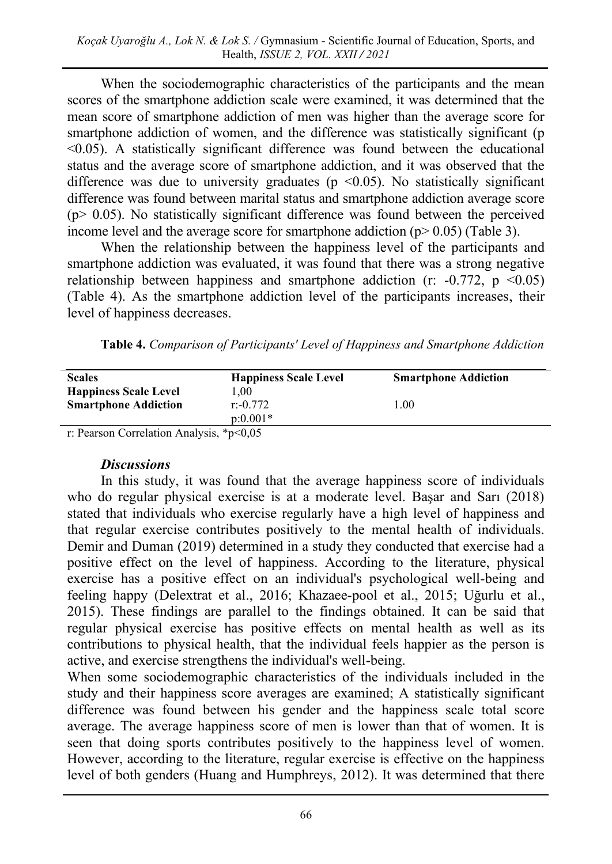When the sociodemographic characteristics of the participants and the mean scores of the smartphone addiction scale were examined, it was determined that the mean score of smartphone addiction of men was higher than the average score for smartphone addiction of women, and the difference was statistically significant (p <0.05). A statistically significant difference was found between the educational status and the average score of smartphone addiction, and it was observed that the difference was due to university graduates ( $p \le 0.05$ ). No statistically significant difference was found between marital status and smartphone addiction average score  $(p > 0.05)$ . No statistically significant difference was found between the perceived income level and the average score for smartphone addiction  $(p > 0.05)$  (Table 3).

When the relationship between the happiness level of the participants and smartphone addiction was evaluated, it was found that there was a strong negative relationship between happiness and smartphone addiction (r:  $-0.772$ , p  $\leq 0.05$ ) (Table 4). As the smartphone addiction level of the participants increases, their level of happiness decreases.

**Table 4.** *Comparison of Participants' Level of Happiness and Smartphone Addiction*

| <b>Scales</b>                                            | <b>Happiness Scale Level</b> | <b>Smartphone Addiction</b> |
|----------------------------------------------------------|------------------------------|-----------------------------|
| <b>Happiness Scale Level</b>                             | 1.00                         |                             |
| <b>Smartphone Addiction</b>                              | $r = 0.772$                  | 1.00                        |
|                                                          | $p:0.001*$                   |                             |
| $\mu$ . Decrees Correlation Anglysis $\frac{k_0}{20.05}$ |                              |                             |

r: Pearson Correlation Analysis, \*p<0,05

#### *Discussions*

In this study, it was found that the average happiness score of individuals who do regular physical exercise is at a moderate level. Başar and Sarı (2018) stated that individuals who exercise regularly have a high level of happiness and that regular exercise contributes positively to the mental health of individuals. Demir and Duman (2019) determined in a study they conducted that exercise had a positive effect on the level of happiness. According to the literature, physical exercise has a positive effect on an individual's psychological well-being and feeling happy (Delextrat et al., 2016; Khazaee-pool et al., 2015; Uğurlu et al., 2015). These findings are parallel to the findings obtained. It can be said that regular physical exercise has positive effects on mental health as well as its contributions to physical health, that the individual feels happier as the person is active, and exercise strengthens the individual's well-being.

When some sociodemographic characteristics of the individuals included in the study and their happiness score averages are examined; A statistically significant difference was found between his gender and the happiness scale total score average. The average happiness score of men is lower than that of women. It is seen that doing sports contributes positively to the happiness level of women. However, according to the literature, regular exercise is effective on the happiness level of both genders (Huang and Humphreys, 2012). It was determined that there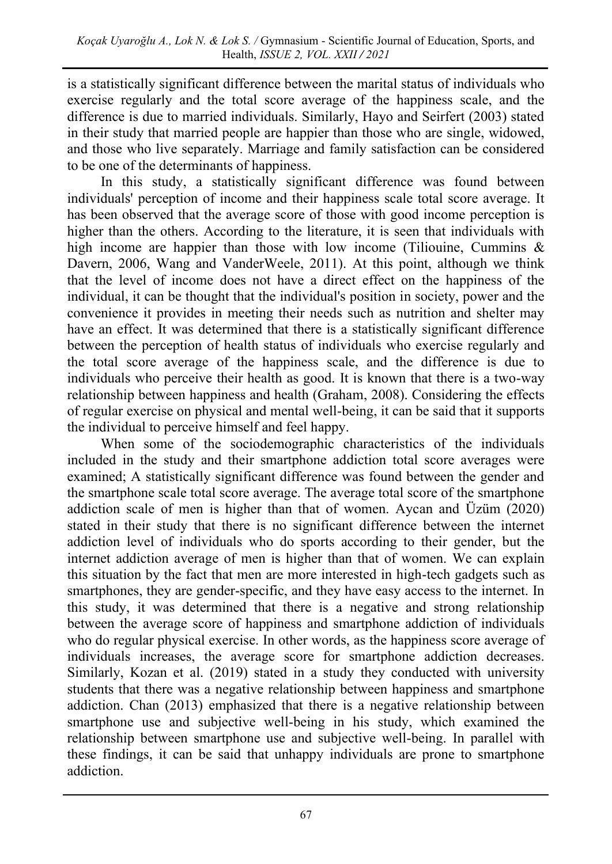is a statistically significant difference between the marital status of individuals who exercise regularly and the total score average of the happiness scale, and the difference is due to married individuals. Similarly, Hayo and Seirfert (2003) stated in their study that married people are happier than those who are single, widowed, and those who live separately. Marriage and family satisfaction can be considered to be one of the determinants of happiness.

In this study, a statistically significant difference was found between individuals' perception of income and their happiness scale total score average. It has been observed that the average score of those with good income perception is higher than the others. According to the literature, it is seen that individuals with high income are happier than those with low income (Tiliouine, Cummins & Davern, 2006, Wang and VanderWeele, 2011). At this point, although we think that the level of income does not have a direct effect on the happiness of the individual, it can be thought that the individual's position in society, power and the convenience it provides in meeting their needs such as nutrition and shelter may have an effect. It was determined that there is a statistically significant difference between the perception of health status of individuals who exercise regularly and the total score average of the happiness scale, and the difference is due to individuals who perceive their health as good. It is known that there is a two-way relationship between happiness and health (Graham, 2008). Considering the effects of regular exercise on physical and mental well-being, it can be said that it supports the individual to perceive himself and feel happy.

When some of the sociodemographic characteristics of the individuals included in the study and their smartphone addiction total score averages were examined; A statistically significant difference was found between the gender and the smartphone scale total score average. The average total score of the smartphone addiction scale of men is higher than that of women. Aycan and Üzüm (2020) stated in their study that there is no significant difference between the internet addiction level of individuals who do sports according to their gender, but the internet addiction average of men is higher than that of women. We can explain this situation by the fact that men are more interested in high-tech gadgets such as smartphones, they are gender-specific, and they have easy access to the internet. In this study, it was determined that there is a negative and strong relationship between the average score of happiness and smartphone addiction of individuals who do regular physical exercise. In other words, as the happiness score average of individuals increases, the average score for smartphone addiction decreases. Similarly, Kozan et al. (2019) stated in a study they conducted with university students that there was a negative relationship between happiness and smartphone addiction. Chan (2013) emphasized that there is a negative relationship between smartphone use and subjective well-being in his study, which examined the relationship between smartphone use and subjective well-being. In parallel with these findings, it can be said that unhappy individuals are prone to smartphone addiction.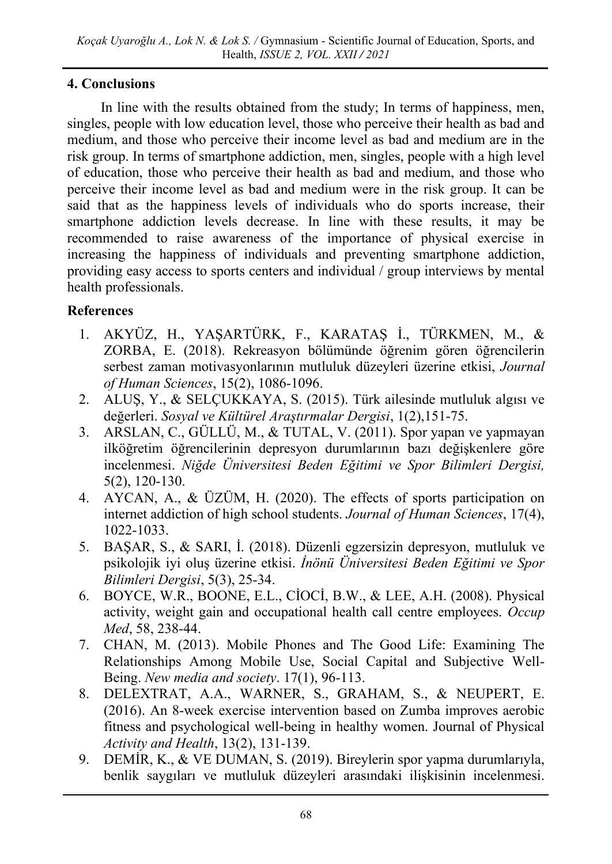## **4. Conclusions**

In line with the results obtained from the study; In terms of happiness, men, singles, people with low education level, those who perceive their health as bad and medium, and those who perceive their income level as bad and medium are in the risk group. In terms of smartphone addiction, men, singles, people with a high level of education, those who perceive their health as bad and medium, and those who perceive their income level as bad and medium were in the risk group. It can be said that as the happiness levels of individuals who do sports increase, their smartphone addiction levels decrease. In line with these results, it may be recommended to raise awareness of the importance of physical exercise in increasing the happiness of individuals and preventing smartphone addiction, providing easy access to sports centers and individual / group interviews by mental health professionals.

## **References**

- 1. AKYÜZ, H., YAŞARTÜRK, F., KARATAŞ İ., TÜRKMEN, M., & ZORBA, E. (2018). Rekreasyon bölümünde öğrenim gören öğrencilerin serbest zaman motivasyonlarının mutluluk düzeyleri üzerine etkisi, *Journal of Human Sciences*, 15(2), 1086-1096.
- 2. ALUŞ, Y., & SELÇUKKAYA, S. (2015). Türk ailesinde mutluluk algısı ve değerleri. *Sosyal ve Kültürel Araştırmalar Dergisi*, 1(2),151-75.
- 3. ARSLAN, C., GÜLLÜ, M., & TUTAL, V. (2011). Spor yapan ve yapmayan ilköğretim öğrencilerinin depresyon durumlarının bazı değişkenlere göre incelenmesi. *Niğde Üniversitesi Beden Eğitimi ve Spor Bilimleri Dergisi,* 5(2), 120-130.
- 4. AYCAN, A., & ÜZÜM, H. (2020). The effects of sports participation on internet addiction of high school students. *Journal of Human Sciences*, 17(4), 1022-1033.
- 5. BAŞAR, S., & SARI, İ. (2018). Düzenli egzersizin depresyon, mutluluk ve psikolojik iyi oluş üzerine etkisi. *İnönü Üniversitesi Beden Eğitimi ve Spor Bilimleri Dergisi*, 5(3), 25-34.
- 6. BOYCE, W.R., BOONE, E.L., CİOCİ, B.W., & LEE, A.H. (2008). Physical activity, weight gain and occupational health call centre employees. *Occup Med*, 58, 238-44.
- 7. CHAN, M. (2013). Mobile Phones and The Good Life: Examining The Relationships Among Mobile Use, Social Capital and Subjective Well-Being. *New media and society*. 17(1), 96-113.
- 8. DELEXTRAT, A.A., WARNER, S., GRAHAM, S., & NEUPERT, E. (2016). An 8-week exercise intervention based on Zumba improves aerobic fitness and psychological well-being in healthy women. Journal of Physical *Activity and Health*, 13(2), 131-139.
- 9. DEMİR, K., & VE DUMAN, S. (2019). Bireylerin spor yapma durumlarıyla, benlik saygıları ve mutluluk düzeyleri arasındaki ilişkisinin incelenmesi.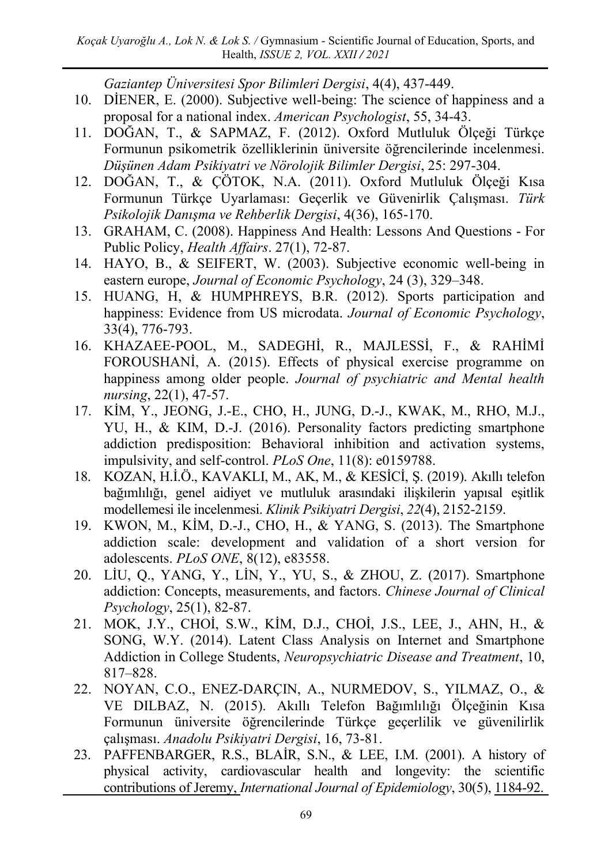*Gaziantep Üniversitesi Spor Bilimleri Dergisi*, 4(4), 437-449.

- 10. DİENER, E. (2000). Subjective well-being: The science of happiness and a proposal for a national index. *American Psychologist*, 55, 34-43.
- 11. DOĞAN, T., & SAPMAZ, F. (2012). Oxford Mutluluk Ölçeği Türkçe Formunun psikometrik özelliklerinin üniversite öğrencilerinde incelenmesi. *Düşünen Adam Psikiyatri ve Nörolojik Bilimler Dergisi*, 25: 297-304.
- 12. DOĞAN, T., & ÇÖTOK, N.A. (2011). Oxford Mutluluk Ölçeği Kısa Formunun Türkçe Uyarlaması: Geçerlik ve Güvenirlik Çalışması. *Türk Psikolojik Danışma ve Rehberlik Dergisi*, 4(36), 165-170.
- 13. GRAHAM, C. (2008). Happiness And Health: Lessons And Questions For Public Policy, *Health Affairs*. 27(1), 72-87.
- 14. HAYO, B., & SEIFERT, W. (2003). Subjective economic well-being in eastern europe, *Journal of Economic Psychology*, 24 (3), 329–348.
- 15. HUANG, H, & HUMPHREYS, B.R. (2012). Sports participation and happiness: Evidence from US microdata. *Journal of Economic Psychology*, 33(4), 776-793.
- 16. KHAZAEE‐POOL, M., SADEGHİ, R., MAJLESSİ, F., & RAHİMİ FOROUSHANİ, A. (2015). Effects of physical exercise programme on happiness among older people. *Journal of psychiatric and Mental health nursing*, 22(1), 47-57.
- 17. KİM, Y., JEONG, J.-E., CHO, H., JUNG, D.-J., KWAK, M., RHO, M.J., YU, H., & KIM, D.-J. (2016). Personality factors predicting smartphone addiction predisposition: Behavioral inhibition and activation systems, impulsivity, and self-control. *PLoS One*, 11(8): e0159788.
- 18. KOZAN, H.İ.Ö., KAVAKLI, M., AK, M., & KESİCİ, Ş. (2019). Akıllı telefon bağımlılığı, genel aidiyet ve mutluluk arasındaki ilişkilerin yapısal eşitlik modellemesi ile incelenmesi. *Klinik Psikiyatri Dergisi*, *22*(4), 2152-2159.
- 19. KWON, M., KİM, D.-J., CHO, H., & YANG, S. (2013). The Smartphone addiction scale: development and validation of a short version for adolescents. *PLoS ONE*, 8(12), e83558.
- 20. LİU, Q., YANG, Y., LİN, Y., YU, S., & ZHOU, Z. (2017). Smartphone addiction: Concepts, measurements, and factors. *Chinese Journal of Clinical Psychology*, 25(1), 82-87.
- 21. MOK, J.Y., CHOİ, S.W., KİM, D.J., CHOİ, J.S., LEE, J., AHN, H., & SONG, W.Y. (2014). Latent Class Analysis on Internet and Smartphone Addiction in College Students, *Neuropsychiatric Disease and Treatment*, 10, 817–828.
- 22. NOYAN, C.O., ENEZ-DARÇIN, A., NURMEDOV, S., YILMAZ, O., & VE DILBAZ, N. (2015). Akıllı Telefon Bağımlılığı Ölçeğinin Kısa Formunun üniversite öğrencilerinde Türkçe geçerlilik ve güvenilirlik çalışması. *Anadolu Psikiyatri Dergisi*, 16, 73-81.
- 23. PAFFENBARGER, R.S., BLAİR, S.N., & LEE, I.M. (2001). A history of physical activity, cardiovascular health and longevity: the scientific contributions of Jeremy, *International Journal of Epidemiology*, 30(5), 1184-92.